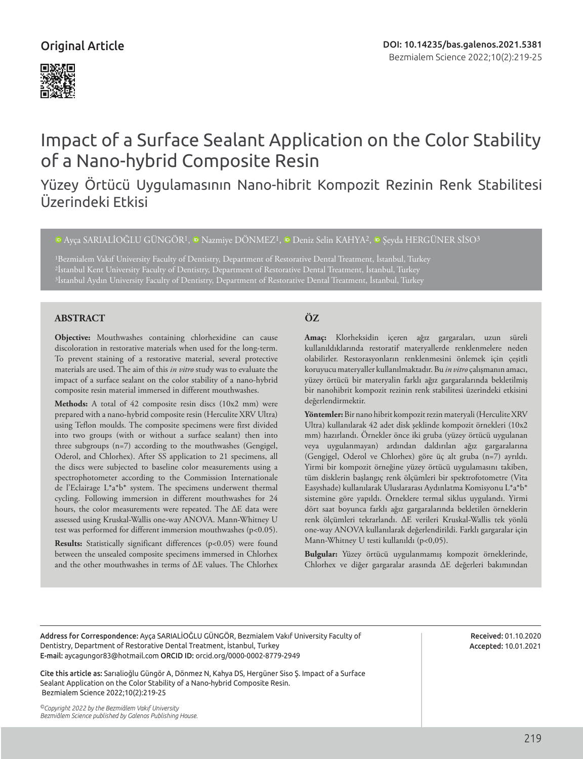# Original Article



# Impact of a Surface Sealant Application on the Color Stability of a Nano-hybrid Composite Resin

# Yüzey Örtücü Uygulamasının Nano-hibrit Kompozit Rezinin Renk Stabilitesi Üzerindeki Etkisi

 $\Phi$ Ayca SARIALİOĞLU GÜNGÖR<sup>1</sup>,  $\Phi$  Nazmiye DÖNMEZ<sup>1</sup>,  $\Phi$  Deniz Selin KAHYA<sup>2</sup>,  $\Phi$  Seyda HERGÜNER SİSO<sup>3</sup>

1Bezmialem Vakıf University Faculty of Dentistry, Department of Restorative Dental Treatment, İstanbul, Turkey 2İstanbul Kent University Faculty of Dentistry, Department of Restorative Dental Treatment, İstanbul, Turkey

# **ABSTRACT ÖZ**

**Objective:** Mouthwashes containing chlorhexidine can cause discoloration in restorative materials when used for the long-term. To prevent staining of a restorative material, several protective materials are used. The aim of this *in vitro* study was to evaluate the impact of a surface sealant on the color stability of a nano-hybrid composite resin material immersed in different mouthwashes.

**Methods:** A total of 42 composite resin discs (10x2 mm) were prepared with a nano-hybrid composite resin (Herculite XRV Ultra) using Teflon moulds. The composite specimens were first divided into two groups (with or without a surface sealant) then into three subgroups (n=7) according to the mouthwashes (Gengigel, Oderol, and Chlorhex). After SS application to 21 specimens, all the discs were subjected to baseline color measurements using a spectrophotometer according to the Commission Internationale de l'Eclairage L\*a\*b\* system. The specimens underwent thermal cycling. Following immersion in different mouthwashes for 24 hours, the color measurements were repeated. The ∆E data were assessed using Kruskal-Wallis one-way ANOVA. Mann-Whitney U test was performed for different immersion mouthwashes (p<0.05).

**Results:** Statistically significant differences (p<0.05) were found between the unsealed composite specimens immersed in Chlorhex and the other mouthwashes in terms of ∆E values. The Chlorhex

**Amaç:** Klorheksidin içeren ağız gargaraları, uzun süreli kullanıldıklarında restoratif materyallerde renklenmelere neden olabilirler. Restorasyonların renklenmesini önlemek için çeşitli koruyucu materyaller kullanılmaktadır. Bu *in vitro* çalışmanın amacı, yüzey örtücü bir materyalin farklı ağız gargaralarında bekletilmiş bir nanohibrit kompozit rezinin renk stabilitesi üzerindeki etkisini değerlendirmektir.

**Yöntemler:** Bir nano hibrit kompozit rezin materyali (Herculite XRV Ultra) kullanılarak 42 adet disk şeklinde kompozit örnekleri (10x2 mm) hazırlandı. Örnekler önce iki gruba (yüzey örtücü uygulanan veya uygulanmayan) ardından daldırılan ağız gargaralarına (Gengigel, Oderol ve Chlorhex) göre üç alt gruba (n=7) ayrıldı. Yirmi bir kompozit örneğine yüzey örtücü uygulamasını takiben, tüm disklerin başlangıç renk ölçümleri bir spektrofotometre (Vita Easyshade) kullanılarak Uluslararası Aydınlatma Komisyonu L\*a\*b\* sistemine göre yapıldı. Örneklere termal siklus uygulandı. Yirmi dört saat boyunca farklı ağız gargaralarında bekletilen örneklerin renk ölçümleri tekrarlandı. ∆E verileri Kruskal-Wallis tek yönlü one-way ANOVA kullanılarak değerlendirildi. Farklı gargaralar için Mann-Whitney U testi kullanıldı (p<0,05).

**Bulgular:** Yüzey örtücü uygulanmamış kompozit örneklerinde, Chlorhex ve diğer gargaralar arasında ∆E değerleri bakımından

Address for Correspondence: Ayça SARIALİOĞLU GÜNGÖR, Bezmialem Vakıf University Faculty of Dentistry, Department of Restorative Dental Treatment, İstanbul, Turkey E-mail: aycagungor83@hotmail.com ORCID ID: orcid.org/0000-0002-8779-2949

Cite this article as: Sarıalioğlu Güngör A, Dönmez N, Kahya DS, Hergüner Siso Ş. Impact of a Surface Sealant Application on the Color Stability of a Nano-hybrid Composite Resin. Bezmialem Science 2022;10(2):219-25

*©Copyright 2022 by the Bezmiâlem Vakıf University Bezmiâlem Science published by Galenos Publishing House.*

Received: 01.10.2020 Accepted: 10.01.2021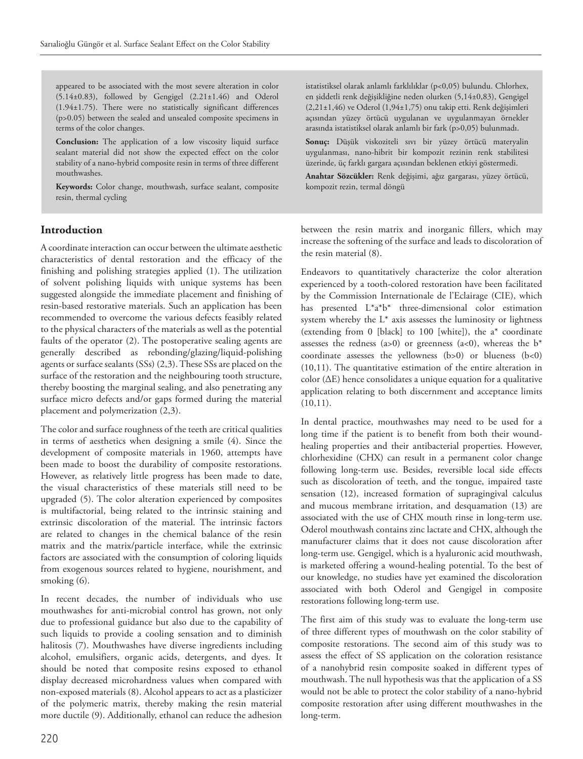appeared to be associated with the most severe alteration in color (5.14±0.83), followed by Gengigel (2.21±1.46) and Oderol (1.94±1.75). There were no statistically significant differences (p>0.05) between the sealed and unsealed composite specimens in terms of the color changes.

**Conclusion:** The application of a low viscosity liquid surface sealant material did not show the expected effect on the color stability of a nano-hybrid composite resin in terms of three different mouthwashes.

**Keywords:** Color change, mouthwash, surface sealant, composite resin, thermal cycling

# **Introduction**

A coordinate interaction can occur between the ultimate aesthetic characteristics of dental restoration and the efficacy of the finishing and polishing strategies applied (1). The utilization of solvent polishing liquids with unique systems has been suggested alongside the immediate placement and finishing of resin-based restorative materials. Such an application has been recommended to overcome the various defects feasibly related to the physical characters of the materials as well as the potential faults of the operator (2). The postoperative sealing agents are generally described as rebonding/glazing/liquid-polishing agents or surface sealants (SSs) (2,3). These SSs are placed on the surface of the restoration and the neighbouring tooth structure, thereby boosting the marginal sealing, and also penetrating any surface micro defects and/or gaps formed during the material placement and polymerization (2,3).

The color and surface roughness of the teeth are critical qualities in terms of aesthetics when designing a smile (4). Since the development of composite materials in 1960, attempts have been made to boost the durability of composite restorations. However, as relatively little progress has been made to date, the visual characteristics of these materials still need to be upgraded (5). The color alteration experienced by composites is multifactorial, being related to the intrinsic staining and extrinsic discoloration of the material. The intrinsic factors are related to changes in the chemical balance of the resin matrix and the matrix/particle interface, while the extrinsic factors are associated with the consumption of coloring liquids from exogenous sources related to hygiene, nourishment, and smoking (6).

In recent decades, the number of individuals who use mouthwashes for anti-microbial control has grown, not only due to professional guidance but also due to the capability of such liquids to provide a cooling sensation and to diminish halitosis (7). Mouthwashes have diverse ingredients including alcohol, emulsifiers, organic acids, detergents, and dyes. It should be noted that composite resins exposed to ethanol display decreased microhardness values when compared with non-exposed materials (8). Alcohol appears to act as a plasticizer of the polymeric matrix, thereby making the resin material more ductile (9). Additionally, ethanol can reduce the adhesion

istatistiksel olarak anlamlı farklılıklar (p<0,05) bulundu. Chlorhex, en şiddetli renk değişikliğine neden olurken (5,14±0,83), Gengigel (2,21±1,46) ve Oderol (1,94±1,75) onu takip etti. Renk değişimleri açısından yüzey örtücü uygulanan ve uygulanmayan örnekler arasında istatistiksel olarak anlamlı bir fark (p>0,05) bulunmadı.

**Sonuç:** Düşük viskoziteli sıvı bir yüzey örtücü materyalin uygulanması, nano-hibrit bir kompozit rezinin renk stabilitesi üzerinde, üç farklı gargara açısından beklenen etkiyi göstermedi.

**Anahtar Sözcükler:** Renk değişimi, ağız gargarası, yüzey örtücü, kompozit rezin, termal döngü

between the resin matrix and inorganic fillers, which may increase the softening of the surface and leads to discoloration of the resin material (8).

Endeavors to quantitatively characterize the color alteration experienced by a tooth-colored restoration have been facilitated by the Commission Internationale de l'Eclairage (CIE), which has presented L\*a\*b\* three-dimensional color estimation system whereby the  $L^*$  axis assesses the luminosity or lightness (extending from 0 [black] to 100 [white]), the a\* coordinate assesses the redness (a>0) or greenness (a<0), whereas the  $b^*$ coordinate assesses the yellowness (b>0) or blueness (b<0) (10,11). The quantitative estimation of the entire alteration in color (∆E) hence consolidates a unique equation for a qualitative application relating to both discernment and acceptance limits  $(10,11).$ 

In dental practice, mouthwashes may need to be used for a long time if the patient is to benefit from both their woundhealing properties and their antibacterial properties. However, chlorhexidine (CHX) can result in a permanent color change following long-term use. Besides, reversible local side effects such as discoloration of teeth, and the tongue, impaired taste sensation (12), increased formation of supragingival calculus and mucous membrane irritation, and desquamation (13) are associated with the use of CHX mouth rinse in long-term use. Oderol mouthwash contains zinc lactate and CHX, although the manufacturer claims that it does not cause discoloration after long-term use. Gengigel, which is a hyaluronic acid mouthwash, is marketed offering a wound-healing potential. To the best of our knowledge, no studies have yet examined the discoloration associated with both Oderol and Gengigel in composite restorations following long-term use.

The first aim of this study was to evaluate the long-term use of three different types of mouthwash on the color stability of composite restorations. The second aim of this study was to assess the effect of SS application on the coloration resistance of a nanohybrid resin composite soaked in different types of mouthwash. The null hypothesis was that the application of a SS would not be able to protect the color stability of a nano-hybrid composite restoration after using different mouthwashes in the long-term.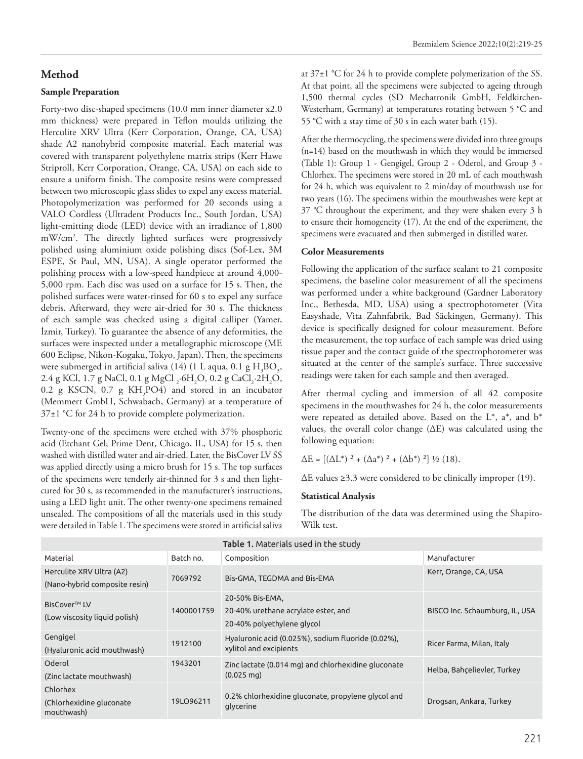### **Method**

#### **Sample Preparation**

Forty-two disc-shaped specimens (10.0 mm inner diameter x2.0 mm thickness) were prepared in Teflon moulds utilizing the Herculite XRV Ultra (Kerr Corporation, Orange, CA, USA) shade A2 nanohybrid composite material. Each material was covered with transparent polyethylene matrix strips (Kerr Hawe Striproll, Kerr Corporation, Orange, CA, USA) on each side to ensure a uniform finish. The composite resins were compressed between two microscopic glass slides to expel any excess material. Photopolymerization was performed for 20 seconds using a VALO Cordless (Ultradent Products Inc., South Jordan, USA) light-emitting diode (LED) device with an irradiance of 1,800 mW/cm2 . The directly lighted surfaces were progressively polished using aluminium oxide polishing discs (Sof-Lex, 3M ESPE, St Paul, MN, USA). A single operator performed the polishing process with a low-speed handpiece at around 4,000- 5,000 rpm. Each disc was used on a surface for 15 s. Then, the polished surfaces were water-rinsed for 60 s to expel any surface debris. Afterward, they were air-dried for 30 s. The thickness of each sample was checked using a digital calliper (Yamer, İzmir, Turkey). To guarantee the absence of any deformities, the surfaces were inspected under a metallographic microscope (ME 600 Eclipse, Nikon-Kogaku, Tokyo, Japan). Then, the specimens were submerged in artificial saliva (14) (1 L aqua, 0.1 g  $H_3BO_3$ , 2.4 g KCl, 1.7 g NaCl, 0.1 g MgCl <sub>2</sub>·6H<sub>2</sub>O, 0.2 g CaCl<sub>2</sub>·2H<sub>2</sub>O, 0.2 g KSCN, 0.7 g  $KH_2PO4$ ) and stored in an incubator (Memmert GmbH, Schwabach, Germany) at a temperature of 37±1 °C for 24 h to provide complete polymerization.

Twenty-one of the specimens were etched with 37% phosphoric acid (Etchant Gel; Prime Dent, Chicago, IL, USA) for 15 s, then washed with distilled water and air-dried. Later, the BisCover LV SS was applied directly using a micro brush for 15 s. The top surfaces of the specimens were tenderly air-thinned for 3 s and then lightcured for 30 s, as recommended in the manufacturer's instructions, using a LED light unit. The other twenty-one specimens remained unsealed. The compositions of all the materials used in this study were detailed in Table 1. The specimens were stored in artificial saliva

at 37±1 °C for 24 h to provide complete polymerization of the SS. At that point, all the specimens were subjected to ageing through 1,500 thermal cycles (SD Mechatronik GmbH, Feldkirchen-Westerham, Germany) at temperatures rotating between 5 °C and 55 °C with a stay time of 30 s in each water bath (15).

After the thermocycling, the specimens were divided into three groups (n=14) based on the mouthwash in which they would be immersed (Table 1): Group 1 - Gengigel, Group 2 - Oderol, and Group 3 - Chlorhex. The specimens were stored in 20 mL of each mouthwash for 24 h, which was equivalent to 2 min/day of mouthwash use for two years (16). The specimens within the mouthwashes were kept at 37 °C throughout the experiment, and they were shaken every 3 h to ensure their homogeneity (17). At the end of the experiment, the specimens were evacuated and then submerged in distilled water.

#### **Color Measurements**

Following the application of the surface sealant to 21 composite specimens, the baseline color measurement of all the specimens was performed under a white background (Gardner Laboratory Inc., Bethesda, MD, USA) using a spectrophotometer (Vita Easyshade, Vita Zahnfabrik, Bad Säckingen, Germany). This device is specifically designed for colour measurement. Before the measurement, the top surface of each sample was dried using tissue paper and the contact guide of the spectrophotometer was situated at the center of the sample's surface. Three successive readings were taken for each sample and then averaged.

After thermal cycling and immersion of all 42 composite specimens in the mouthwashes for 24 h, the color measurements were repeated as detailed above. Based on the  $L^*$ ,  $a^*$ , and  $b^*$ values, the overall color change (∆E) was calculated using the following equation:

 $\Delta E = [(\Delta L^*)^2 + (\Delta a^*)^2 + (\Delta b^*)^2] \frac{1}{2} (18).$ 

∆E values ≥3.3 were considered to be clinically improper (19).

#### **Statistical Analysis**

The distribution of the data was determined using the Shapiro-Wilk test.

| <b>Table 1.</b> Materials used in the study               |            |                                                                                      |                                |  |  |  |  |
|-----------------------------------------------------------|------------|--------------------------------------------------------------------------------------|--------------------------------|--|--|--|--|
| Material                                                  | Batch no.  | Composition                                                                          | Manufacturer                   |  |  |  |  |
| Herculite XRV Ultra (A2)<br>(Nano-hybrid composite resin) | 7069792    | Bis-GMA, TEGDMA and Bis-EMA                                                          | Kerr, Orange, CA, USA          |  |  |  |  |
| BisCover <sup>™</sup> LV<br>(Low viscosity liquid polish) | 1400001759 | 20-50% Bis-EMA,<br>20-40% urethane acrylate ester, and<br>20-40% polyethylene glycol | BISCO Inc. Schaumburg, IL, USA |  |  |  |  |
| Gengigel<br>(Hyaluronic acid mouthwash)                   | 1912100    | Hyaluronic acid (0.025%), sodium fluoride (0.02%),<br>xylitol and excipients         | Ricer Farma, Milan, Italy      |  |  |  |  |
| Oderol<br>(Zinc lactate mouthwash)                        | 1943201    | Zinc lactate (0.014 mg) and chlorhexidine gluconate<br>$(0.025 \text{ mg})$          | Helba, Bahcelievler, Turkey    |  |  |  |  |
| Chlorhex<br>(Chlorhexidine gluconate<br>mouthwash)        | 19LO96211  | 0.2% chlorhexidine gluconate, propylene glycol and<br>glycerine                      | Drogsan, Ankara, Turkey        |  |  |  |  |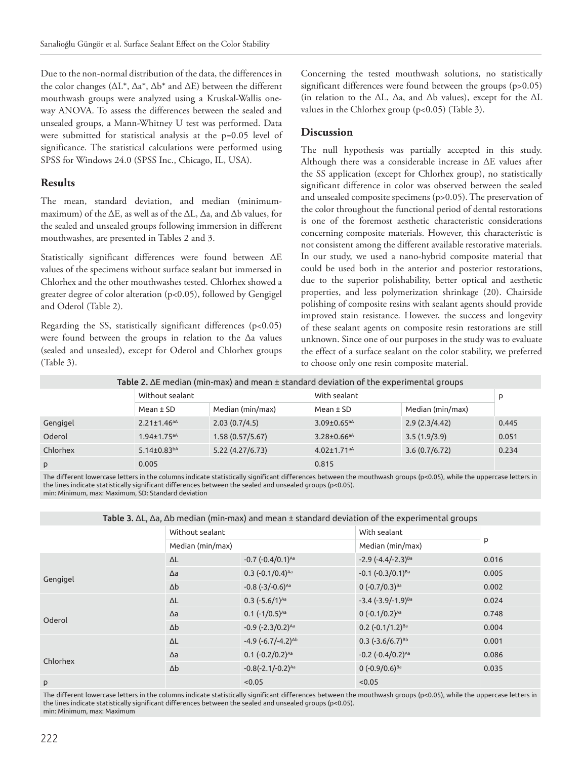Due to the non-normal distribution of the data, the differences in the color changes (∆L\*, ∆a\*, ∆b\* and ∆E) between the different mouthwash groups were analyzed using a Kruskal-Wallis oneway ANOVA. To assess the differences between the sealed and unsealed groups, a Mann-Whitney U test was performed. Data were submitted for statistical analysis at the p=0.05 level of significance. The statistical calculations were performed using SPSS for Windows 24.0 (SPSS Inc., Chicago, IL, USA).

# **Results**

The mean, standard deviation, and median (minimummaximum) of the ∆E, as well as of the ∆L, ∆a, and ∆b values, for the sealed and unsealed groups following immersion in different mouthwashes, are presented in Tables 2 and 3.

Statistically significant differences were found between ∆E values of the specimens without surface sealant but immersed in Chlorhex and the other mouthwashes tested. Chlorhex showed a greater degree of color alteration (p<0.05), followed by Gengigel and Oderol (Table 2).

Regarding the SS, statistically significant differences (p<0.05) were found between the groups in relation to the ∆a values (sealed and unsealed), except for Oderol and Chlorhex groups (Table 3).

Concerning the tested mouthwash solutions, no statistically significant differences were found between the groups (p>0.05) (in relation to the ∆L, ∆a, and ∆b values), except for the ∆L values in the Chlorhex group (p<0.05) (Table 3).

# **Discussion**

The null hypothesis was partially accepted in this study. Although there was a considerable increase in ∆E values after the SS application (except for Chlorhex group), no statistically significant difference in color was observed between the sealed and unsealed composite specimens (p>0.05). The preservation of the color throughout the functional period of dental restorations is one of the foremost aesthetic characteristic considerations concerning composite materials. However, this characteristic is not consistent among the different available restorative materials. In our study, we used a nano-hybrid composite material that could be used both in the anterior and posterior restorations, due to the superior polishability, better optical and aesthetic properties, and less polymerization shrinkage (20). Chairside polishing of composite resins with sealant agents should provide improved stain resistance. However, the success and longevity of these sealant agents on composite resin restorations are still unknown. Since one of our purposes in the study was to evaluate the effect of a surface sealant on the color stability, we preferred to choose only one resin composite material.

| Table 2. $\Delta E$ median (min-max) and mean $\pm$ standard deviation of the experimental groups |                               |                  |                               |                  |       |  |  |  |
|---------------------------------------------------------------------------------------------------|-------------------------------|------------------|-------------------------------|------------------|-------|--|--|--|
|                                                                                                   | Without sealant               |                  | With sealant                  |                  | D     |  |  |  |
|                                                                                                   | Mean $\pm$ SD                 | Median (min/max) | Mean $\pm$ SD                 | Median (min/max) |       |  |  |  |
| Gengigel                                                                                          | $2.21 \pm 1.46$ <sup>aA</sup> | 2.03(0.7/4.5)    | $3.09 \pm 0.65$ <sup>aA</sup> | 2.9(2.3/4.42)    | 0.445 |  |  |  |
| Oderol                                                                                            | $1.94 \pm 1.75$ <sup>aA</sup> | 1.58(0.57/5.67)  | $3.28 \pm 0.66$ <sup>aA</sup> | 3.5(1.9/3.9)     | 0.051 |  |  |  |
| Chlorhex                                                                                          | $5.14 \pm 0.83^{bA}$          | 5.22(4.27/6.73)  | $4.02 \pm 1.71$ <sup>aA</sup> | 3.6(0.7/6.72)    | 0.234 |  |  |  |
| p                                                                                                 | 0.005                         |                  | 0.815                         |                  |       |  |  |  |

Table 2. ΔE median (min-max) and mean ± standard deviation of the experimental groups

The different lowercase letters in the columns indicate statistically significant differences between the mouthwash groups (p<0.05), while the uppercase letters in the lines indicate statistically significant differences between the sealed and unsealed groups (p<0.05). min: Minimum, max: Maximum, SD: Standard deviation

| <b>100te 3:</b> Ac, Ad, Ad median (min max) and mean 2 standard acviation or the experimental groups |                  |                                          |                                  |       |  |  |  |  |
|------------------------------------------------------------------------------------------------------|------------------|------------------------------------------|----------------------------------|-------|--|--|--|--|
|                                                                                                      | Without sealant  |                                          | With sealant                     |       |  |  |  |  |
|                                                                                                      | Median (min/max) |                                          | Median (min/max)                 | P     |  |  |  |  |
|                                                                                                      | $\Delta L$       | $-0.7$ $(-0.4/0.1)^{Aa}$                 | $-2.9$ (-4.4/-2.3) <sup>Ba</sup> | 0.016 |  |  |  |  |
| Gengigel                                                                                             | $\Delta a$       | $0.3$ (-0.1/0.4) <sup>Aa</sup>           | $-0.1$ $(-0.3/0.1)^{Ba}$         | 0.005 |  |  |  |  |
|                                                                                                      | $\Delta b$       | $-0.8$ ( $-3/-0.6$ ) <sup>Aa</sup>       | $0 (-0.7/0.3)^{Ba}$              | 0.002 |  |  |  |  |
|                                                                                                      | $\Delta L$       | $0.3$ (-5.6/1) <sup>Aa</sup>             | $-3.4$ $(-3.9/-1.9)^{Ba}$        | 0.024 |  |  |  |  |
| Oderol                                                                                               | $\Delta a$       | $0.1$ (-1/0.5) <sup>Aa</sup>             | $0 (-0.1/0.2)^{Aa}$              | 0.748 |  |  |  |  |
|                                                                                                      | $\Delta b$       | $-0.9$ $(-2.3/0.2)^{Aa}$                 | $0.2$ (-0.1/1.2) <sup>Ba</sup>   | 0.004 |  |  |  |  |
|                                                                                                      | $\Delta L$       | $-4.9$ ( $-6.7$ / $-4.2$ ) <sup>Ab</sup> | $0.3$ (-3.6/6.7) <sup>Bb</sup>   | 0.001 |  |  |  |  |
| Chlorhex                                                                                             | $\Delta a$       | $0.1$ (-0.2/0.2) <sup>Aa</sup>           | $-0.2$ $(-0.4/0.2)^{Aa}$         | 0.086 |  |  |  |  |
|                                                                                                      | $\Delta b$       | $-0.8(-2.1/-0.2)^{Aa}$                   | $0 (-0.9/0.6)^{Ba}$              | 0.035 |  |  |  |  |
| p                                                                                                    |                  | < 0.05                                   | < 0.05                           |       |  |  |  |  |

Table 3. ΔL, Δa, Δb median (min-max) and mean ± standard deviation of the experimental groups

The different lowercase letters in the columns indicate statistically significant differences between the mouthwash groups (p<0.05), while the uppercase letters in the lines indicate statistically significant differences between the sealed and unsealed groups (p<0.05). min: Minimum, max: Maximum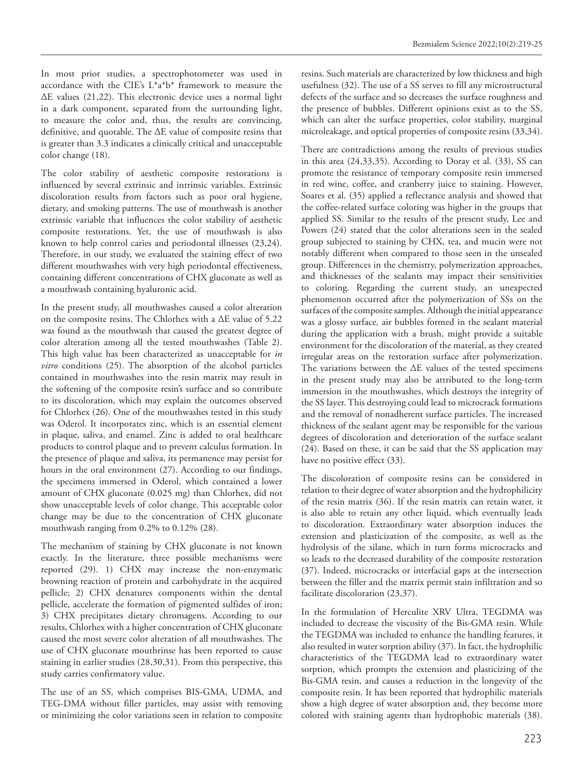In most prior studies, a spectrophotometer was used in accordance with the CIE's L\*a\*b\* framework to measure the ∆E values (21,22). This electronic device uses a normal light in a dark component, separated from the surrounding light, to measure the color and, thus, the results are convincing, definitive, and quotable. The ∆E value of composite resins that is greater than 3.3 indicates a clinically critical and unacceptable color change (18).

The color stability of aesthetic composite restorations is influenced by several extrinsic and intrinsic variables. Extrinsic discoloration results from factors such as poor oral hygiene, dietary, and smoking patterns. The use of mouthwash is another extrinsic variable that influences the color stability of aesthetic composite restorations. Yet, the use of mouthwash is also known to help control caries and periodontal illnesses (23,24). Therefore, in our study, we evaluated the staining effect of two different mouthwashes with very high periodontal effectiveness, containing different concentrations of CHX gluconate as well as a mouthwash containing hyaluronic acid.

In the present study, all mouthwashes caused a color alteration on the composite resins. The Chlorhex with a ∆E value of 5.22 was found as the mouthwash that caused the greatest degree of color alteration among all the tested mouthwashes (Table 2). This high value has been characterized as unacceptable for *in vitro* conditions (25). The absorption of the alcohol particles contained in mouthwashes into the resin matrix may result in the softening of the composite resin's surface and so contribute to its discoloration, which may explain the outcomes observed for Chlorhex (26). One of the mouthwashes tested in this study was Oderol. It incorporates zinc, which is an essential element in plaque, saliva, and enamel. Zinc is added to oral healthcare products to control plaque and to prevent calculus formation. In the presence of plaque and saliva, its permanence may persist for hours in the oral environment (27). According to our findings, the specimens immersed in Oderol, which contained a lower amount of CHX gluconate (0.025 mg) than Chlorhex, did not show unacceptable levels of color change. This acceptable color change may be due to the concentration of CHX gluconate mouthwash ranging from 0.2% to 0.12% (28).

The mechanism of staining by CHX gluconate is not known exactly. In the literature, three possible mechanisms were reported (29). 1) CHX may increase the non-enzymatic browning reaction of protein and carbohydrate in the acquired pellicle; 2) CHX denatures components within the dental pellicle, accelerate the formation of pigmented sulfides of iron; 3) CHX precipitates dietary chromagens. According to our results, Chlorhex with a higher concentration of CHX gluconate caused the most severe color alteration of all mouthwashes. The use of CHX gluconate mouthrinse has been reported to cause staining in earlier studies (28,30,31). From this perspective, this study carries confirmatory value.

The use of an SS, which comprises BIS-GMA, UDMA, and TEG-DMA without filler particles, may assist with removing or minimizing the color variations seen in relation to composite resins. Such materials are characterized by low thickness and high usefulness (32). The use of a SS serves to fill any microstructural defects of the surface and so decreases the surface roughness and the presence of bubbles. Different opinions exist as to the SS, which can alter the surface properties, color stability, marginal microleakage, and optical properties of composite resins (33,34).

There are contradictions among the results of previous studies in this area (24,33,35). According to Doray et al. (33), SS can promote the resistance of temporary composite resin immersed in red wine, coffee, and cranberry juice to staining. However, Soares et al. (35) applied a reflectance analysis and showed that the coffee-related surface coloring was higher in the groups that applied SS. Similar to the results of the present study, Lee and Powers (24) stated that the color alterations seen in the sealed group subjected to staining by CHX, tea, and mucin were not notably different when compared to those seen in the unsealed group. Differences in the chemistry, polymerization approaches, and thicknesses of the sealants may impact their sensitivities to coloring. Regarding the current study, an unexpected phenomenon occurred after the polymerization of SSs on the surfaces of the composite samples. Although the initial appearance was a glossy surface, air bubbles formed in the sealant material during the application with a brush, might provide a suitable environment for the discoloration of the material, as they created irregular areas on the restoration surface after polymerization. The variations between the ∆E values of the tested specimens in the present study may also be attributed to the long-term immersion in the mouthwashes, which destroys the integrity of the SS layer. This destroying could lead to microcrack formations and the removal of nonadherent surface particles. The increased thickness of the sealant agent may be responsible for the various degrees of discoloration and deterioration of the surface sealant (24). Based on these, it can be said that the SS application may have no positive effect (33).

The discoloration of composite resins can be considered in relation to their degree of water absorption and the hydrophilicity of the resin matrix (36). If the resin matrix can retain water, it is also able to retain any other liquid, which eventually leads to discoloration. Extraordinary water absorption induces the extension and plasticization of the composite, as well as the hydrolysis of the silane, which in turn forms microcracks and so leads to the decreased durability of the composite restoration (37). Indeed, microcracks or interfacial gaps at the intersection between the filler and the matrix permit stain infiltration and so facilitate discoloration (23,37).

In the formulation of Herculite XRV Ultra, TEGDMA was included to decrease the viscosity of the Bis-GMA resin. While the TEGDMA was included to enhance the handling features, it also resulted in water sorption ability (37). In fact, the hydrophilic characteristics of the TEGDMA lead to extraordinary water sorption, which prompts the extension and plasticizing of the Bis-GMA resin, and causes a reduction in the longevity of the composite resin. It has been reported that hydrophilic materials show a high degree of water absorption and, they become more colored with staining agents than hydrophobic materials (38).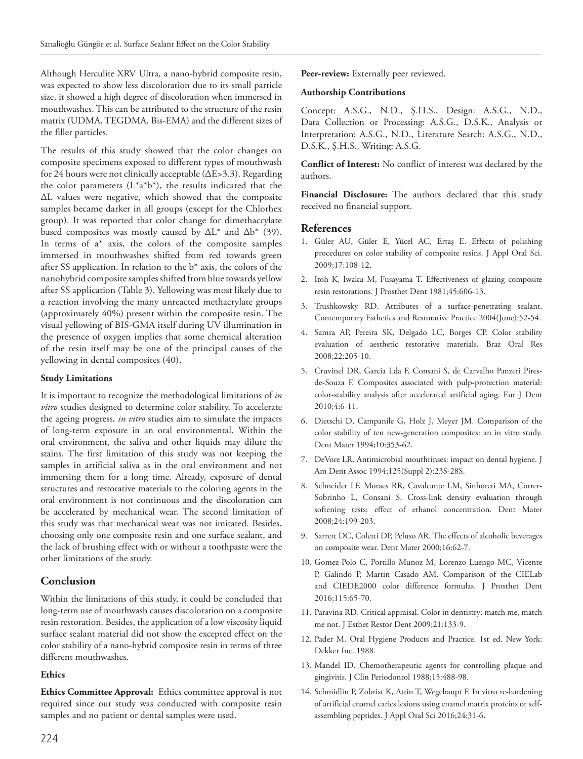Although Herculite XRV Ultra, a nano-hybrid composite resin, was expected to show less discoloration due to its small particle size, it showed a high degree of discoloration when immersed in mouthwashes. This can be attributed to the structure of the resin matrix (UDMA, TEGDMA, Bis-EMA) and the different sizes of the filler particles.

The results of this study showed that the color changes on composite specimens exposed to different types of mouthwash for 24 hours were not clinically acceptable (∆E>3.3). Regarding the color parameters  $(L^*a^*b^*)$ , the results indicated that the ∆L values were negative, which showed that the composite samples became darker in all groups (except for the Chlorhex group). It was reported that color change for dimethacrylate based composites was mostly caused by ∆L\* and ∆b\* (39). In terms of  $a^*$  axis, the colors of the composite samples immersed in mouthwashes shifted from red towards green after SS application. In relation to the b\* axis, the colors of the nanohybrid composite samples shifted from blue towards yellow after SS application (Table 3). Yellowing was most likely due to a reaction involving the many unreacted methacrylate groups (approximately 40%) present within the composite resin. The visual yellowing of BIS-GMA itself during UV illumination in the presence of oxygen implies that some chemical alteration of the resin itself may be one of the principal causes of the yellowing in dental composites (40).

### **Study Limitations**

It is important to recognize the methodological limitations of *in vitro* studies designed to determine color stability. To accelerate the ageing progress*, in vitro* studies aim to simulate the impacts of long-term exposure in an oral environmental. Within the oral environment, the saliva and other liquids may dilute the stains. The first limitation of this study was not keeping the samples in artificial saliva as in the oral environment and not immersing them for a long time. Already, exposure of dental structures and restorative materials to the coloring agents in the oral environment is not continuous and the discoloration can be accelerated by mechanical wear. The second limitation of this study was that mechanical wear was not imitated. Besides, choosing only one composite resin and one surface sealant, and the lack of brushing effect with or without a toothpaste were the other limitations of the study.

# **Conclusion**

Within the limitations of this study, it could be concluded that long-term use of mouthwash causes discoloration on a composite resin restoration. Besides, the application of a low viscosity liquid surface sealant material did not show the excepted effect on the color stability of a nano-hybrid composite resin in terms of three different mouthwashes.

# **Ethics**

**Ethics Committee Approval:** Ethics committee approval is not required since our study was conducted with composite resin samples and no patient or dental samples were used.

Peer-review: Externally peer reviewed.

### **Authorship Contributions**

Concept: A.S.G., N.D., Ş.H.S., Design: A.S.G., N.D., Data Collection or Processing: A.S.G., D.S.K., Analysis or Interpretation: A.S.G., N.D., Literature Search: A.S.G., N.D., D.S.K., Ş.H.S., Writing: A.S.G.

**Conflict of Interest:** No conflict of interest was declared by the authors.

**Financial Disclosure:** The authors declared that this study received no financial support.

# **References**

- 1. Güler AU, Güler E, Yücel AC, Ertaş E. Effects of polishing procedures on color stability of composite resins. J Appl Oral Sci. 2009;17:108-12.
- 2. Itoh K, Iwaku M, Fusayama T. Effectiveness of glazing composite resin restorations. J Prosthet Dent 1981;45:606-13.
- 3. Trushkowsky RD. Attributes of a surface-penetrating sealant. Contemporary Esthetics and Restorative Practice 2004(June):52-54.
- 4. Samra AP, Pereira SK, Delgado LC, Borges CP. Color stability evaluation of aesthetic restorative materials. Braz Oral Res 2008;22:205-10.
- 5. Cruvinel DR, Garcia Lda F, Consani S, de Carvalho Panzeri Piresde-Souza F. Composites associated with pulp-protection material: color-stability analysis after accelerated artificial aging. Eur J Dent 2010;4:6-11.
- 6. Dietschi D, Campanile G, Holz J, Meyer JM. Comparison of the color stability of ten new-generation composites: an in vitro study. Dent Mater 1994;10:353-62.
- 7. DeVore LR. Antimicrobial mouthrinses: impact on dental hygiene. J Am Dent Assoc 1994;125(Suppl 2):23S-28S.
- 8. Schneider LF, Moraes RR, Cavalcante LM, Sinhoreti MA, Correr-Sobrinho L, Consani S. Cross-link density evaluation through softening tests: effect of ethanol concentration. Dent Mater 2008;24:199-203.
- 9. Sarrett DC, Coletti DP, Peluso AR. The effects of alcoholic beverages on composite wear. Dent Mater 2000;16:62-7.
- 10. Gomez-Polo C, Portillo Munoz M, Lorenzo Luengo MC, Vicente P, Galindo P, Martin Casado AM. Comparison of the CIELab and CIEDE2000 color difference formulas. J Prosthet Dent 2016;115:65-70.
- 11. Paravina RD. Critical appraisal. Color in dentistry: match me, match me not. J Esthet Restor Dent 2009;21:133-9.
- 12. Pader M. Oral Hygiene Products and Practice. 1st ed. New York: Dekker Inc. 1988.
- 13. Mandel ID. Chemotherapeutic agents for controlling plaque and gingivitis. J Clin Periodontol 1988;15:488-98.
- 14. Schmidlin P, Zobrist K, Attin T, Wegehaupt F. In vitro re-hardening of artificial enamel caries lesions using enamel matrix proteins or selfassembling peptides. J Appl Oral Sci 2016;24:31-6.